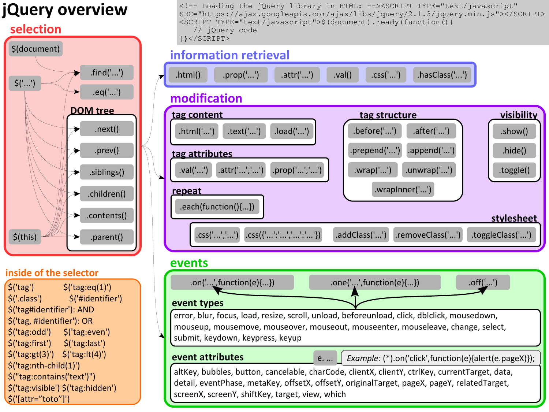# **jQuery overview**

#### **selection**



#### **inside of the selector**

 $\mathsf{S}('tag')$   $\mathsf{S}('tag:1')'$ \$('.class') \$('#identifier') \$('tag#identifier'): AND \$('tag, #identifier'): OR \$('tag:odd') \$('tag:even') \$('tag:first') \$('tag:last') \$('tag:gt(3)') \$('tag:lt(4)') \$('tag:nth-child(1)') \$("tag:contains('text')") \$('tag:visible') \$('tag:hidden') \$('[attr="toto"]')

<!-- Loading the jQuery library in HTML: --><SCRIPT TYPE="text/javascript" SRC=["https://ajax.googleapis.com/ajax/libs/jquery/2.1.3/jquery.min.js"](https://ajax.googleapis.com/ajax/libs/jquery/2.1.3/jquery.min.js)></SCRIPT> <SCRIPT TYPE="text/javascript">\$(document).ready(function(){ // jQuery code }**)**</SCRIPT>

### **information retrieval**



#### **events**